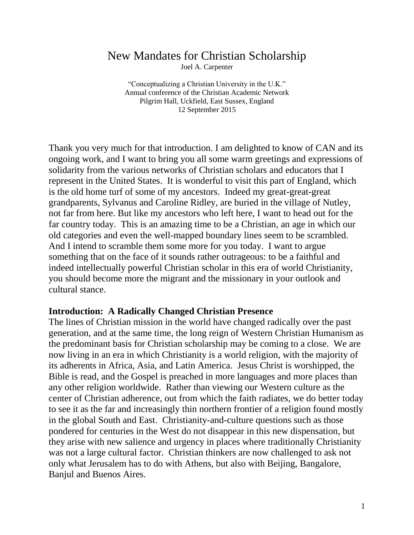# New Mandates for Christian Scholarship

Joel A. Carpenter

"Conceptualizing a Christian University in the U.K." Annual conference of the Christian Academic Network Pilgrim Hall, Uckfield, East Sussex, England 12 September 2015

Thank you very much for that introduction. I am delighted to know of CAN and its ongoing work, and I want to bring you all some warm greetings and expressions of solidarity from the various networks of Christian scholars and educators that I represent in the United States. It is wonderful to visit this part of England, which is the old home turf of some of my ancestors. Indeed my great-great-great grandparents, Sylvanus and Caroline Ridley, are buried in the village of Nutley, not far from here. But like my ancestors who left here, I want to head out for the far country today. This is an amazing time to be a Christian, an age in which our old categories and even the well-mapped boundary lines seem to be scrambled. And I intend to scramble them some more for you today. I want to argue something that on the face of it sounds rather outrageous: to be a faithful and indeed intellectually powerful Christian scholar in this era of world Christianity, you should become more the migrant and the missionary in your outlook and cultural stance.

#### **Introduction: A Radically Changed Christian Presence**

The lines of Christian mission in the world have changed radically over the past generation, and at the same time, the long reign of Western Christian Humanism as the predominant basis for Christian scholarship may be coming to a close. We are now living in an era in which Christianity is a world religion, with the majority of its adherents in Africa, Asia, and Latin America. Jesus Christ is worshipped, the Bible is read, and the Gospel is preached in more languages and more places than any other religion worldwide. Rather than viewing our Western culture as the center of Christian adherence, out from which the faith radiates, we do better today to see it as the far and increasingly thin northern frontier of a religion found mostly in the global South and East. Christianity-and-culture questions such as those pondered for centuries in the West do not disappear in this new dispensation, but they arise with new salience and urgency in places where traditionally Christianity was not a large cultural factor. Christian thinkers are now challenged to ask not only what Jerusalem has to do with Athens, but also with Beijing, Bangalore, Banjul and Buenos Aires.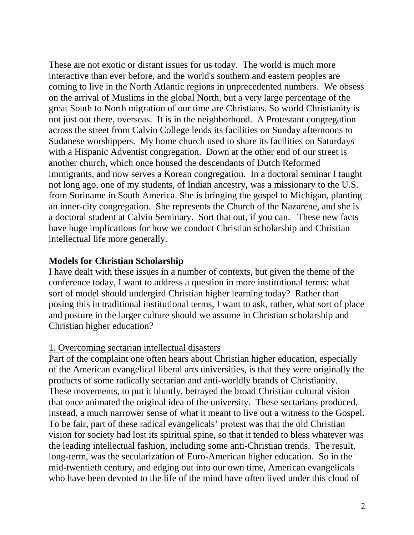These are not exotic or distant issues for us today. The world is much more interactive than ever before, and the world's southern and eastern peoples are coming to live in the North Atlantic regions in unprecedented numbers. We obsess on the arrival of Muslims in the global North, but a very large percentage of the great South to North migration of our time are Christians. So world Christianity is not just out there, overseas. It is in the neighborhood. A Protestant congregation across the street from Calvin College lends its facilities on Sunday afternoons to Sudanese worshippers. My home church used to share its facilities on Saturdays with a Hispanic Adventist congregation. Down at the other end of our street is another church, which once housed the descendants of Dutch Reformed immigrants, and now serves a Korean congregation. In a doctoral seminar I taught not long ago, one of my students, of Indian ancestry, was a missionary to the U.S. from Suriname in South America. She is bringing the gospel to Michigan, planting an inner-city congregation. She represents the Church of the Nazarene, and she is a doctoral student at Calvin Seminary. Sort that out, if you can. These new facts have huge implications for how we conduct Christian scholarship and Christian intellectual life more generally.

#### **Models for Christian Scholarship**

I have dealt with these issues in a number of contexts, but given the theme of the conference today, I want to address a question in more institutional terms: what sort of model should undergird Christian higher learning today? Rather than posing this in traditional institutional terms, I want to ask, rather, what sort of place and posture in the larger culture should we assume in Christian scholarship and Christian higher education?

#### 1. Overcoming sectarian intellectual disasters

Part of the complaint one often hears about Christian higher education, especially of the American evangelical liberal arts universities, is that they were originally the products of some radically sectarian and anti-worldly brands of Christianity. These movements, to put it bluntly, betrayed the broad Christian cultural vision that once animated the original idea of the university. These sectarians produced, instead, a much narrower sense of what it meant to live out a witness to the Gospel. To be fair, part of these radical evangelicals' protest was that the old Christian vision for society had lost its spiritual spine, so that it tended to bless whatever was the leading intellectual fashion, including some anti-Christian trends. The result, long-term, was the secularization of Euro-American higher education. So in the mid-twentieth century, and edging out into our own time, American evangelicals who have been devoted to the life of the mind have often lived under this cloud of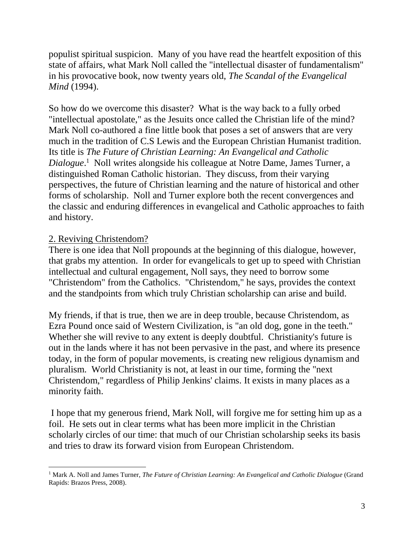populist spiritual suspicion. Many of you have read the heartfelt exposition of this state of affairs, what Mark Noll called the "intellectual disaster of fundamentalism" in his provocative book, now twenty years old, *The Scandal of the Evangelical Mind* (1994).

So how do we overcome this disaster? What is the way back to a fully orbed "intellectual apostolate," as the Jesuits once called the Christian life of the mind? Mark Noll co-authored a fine little book that poses a set of answers that are very much in the tradition of C.S Lewis and the European Christian Humanist tradition. Its title is *The Future of Christian Learning: An Evangelical and Catholic*  Dialogue.<sup>1</sup> Noll writes alongside his colleague at Notre Dame, James Turner, a distinguished Roman Catholic historian. They discuss, from their varying perspectives, the future of Christian learning and the nature of historical and other forms of scholarship. Noll and Turner explore both the recent convergences and the classic and enduring differences in evangelical and Catholic approaches to faith and history.

### 2. Reviving Christendom?

There is one idea that Noll propounds at the beginning of this dialogue, however, that grabs my attention. In order for evangelicals to get up to speed with Christian intellectual and cultural engagement, Noll says, they need to borrow some "Christendom" from the Catholics. "Christendom," he says, provides the context and the standpoints from which truly Christian scholarship can arise and build.

My friends, if that is true, then we are in deep trouble, because Christendom, as Ezra Pound once said of Western Civilization, is "an old dog, gone in the teeth." Whether she will revive to any extent is deeply doubtful. Christianity's future is out in the lands where it has not been pervasive in the past, and where its presence today, in the form of popular movements, is creating new religious dynamism and pluralism. World Christianity is not, at least in our time, forming the "next Christendom," regardless of Philip Jenkins' claims. It exists in many places as a minority faith.

I hope that my generous friend, Mark Noll, will forgive me for setting him up as a foil. He sets out in clear terms what has been more implicit in the Christian scholarly circles of our time: that much of our Christian scholarship seeks its basis and tries to draw its forward vision from European Christendom.

 $\overline{a}$ <sup>1</sup> Mark A. Noll and James Turner, *The Future of Christian Learning: An Evangelical and Catholic Dialogue* (Grand Rapids: Brazos Press, 2008).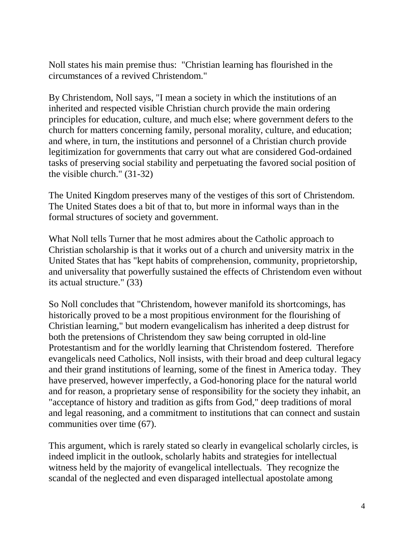Noll states his main premise thus: "Christian learning has flourished in the circumstances of a revived Christendom."

By Christendom, Noll says, "I mean a society in which the institutions of an inherited and respected visible Christian church provide the main ordering principles for education, culture, and much else; where government defers to the church for matters concerning family, personal morality, culture, and education; and where, in turn, the institutions and personnel of a Christian church provide legitimization for governments that carry out what are considered God-ordained tasks of preserving social stability and perpetuating the favored social position of the visible church." (31-32)

The United Kingdom preserves many of the vestiges of this sort of Christendom. The United States does a bit of that to, but more in informal ways than in the formal structures of society and government.

What Noll tells Turner that he most admires about the Catholic approach to Christian scholarship is that it works out of a church and university matrix in the United States that has "kept habits of comprehension, community, proprietorship, and universality that powerfully sustained the effects of Christendom even without its actual structure." (33)

So Noll concludes that "Christendom, however manifold its shortcomings, has historically proved to be a most propitious environment for the flourishing of Christian learning," but modern evangelicalism has inherited a deep distrust for both the pretensions of Christendom they saw being corrupted in old-line Protestantism and for the worldly learning that Christendom fostered. Therefore evangelicals need Catholics, Noll insists, with their broad and deep cultural legacy and their grand institutions of learning, some of the finest in America today. They have preserved, however imperfectly, a God-honoring place for the natural world and for reason, a proprietary sense of responsibility for the society they inhabit, an "acceptance of history and tradition as gifts from God," deep traditions of moral and legal reasoning, and a commitment to institutions that can connect and sustain communities over time (67).

This argument, which is rarely stated so clearly in evangelical scholarly circles, is indeed implicit in the outlook, scholarly habits and strategies for intellectual witness held by the majority of evangelical intellectuals. They recognize the scandal of the neglected and even disparaged intellectual apostolate among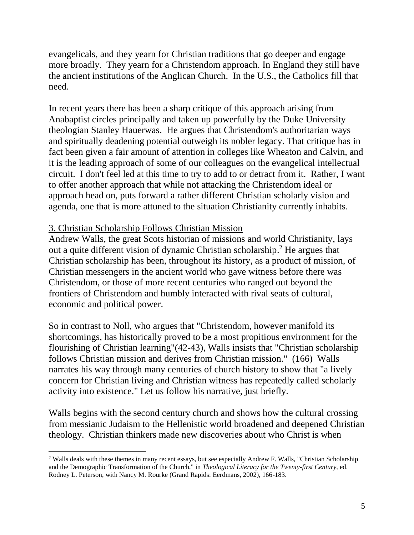evangelicals, and they yearn for Christian traditions that go deeper and engage more broadly. They yearn for a Christendom approach. In England they still have the ancient institutions of the Anglican Church. In the U.S., the Catholics fill that need.

In recent years there has been a sharp critique of this approach arising from Anabaptist circles principally and taken up powerfully by the Duke University theologian Stanley Hauerwas. He argues that Christendom's authoritarian ways and spiritually deadening potential outweigh its nobler legacy. That critique has in fact been given a fair amount of attention in colleges like Wheaton and Calvin, and it is the leading approach of some of our colleagues on the evangelical intellectual circuit. I don't feel led at this time to try to add to or detract from it. Rather, I want to offer another approach that while not attacking the Christendom ideal or approach head on, puts forward a rather different Christian scholarly vision and agenda, one that is more attuned to the situation Christianity currently inhabits.

### 3. Christian Scholarship Follows Christian Mission

 $\overline{a}$ 

Andrew Walls, the great Scots historian of missions and world Christianity, lays out a quite different vision of dynamic Christian scholarship. <sup>2</sup> He argues that Christian scholarship has been, throughout its history, as a product of mission, of Christian messengers in the ancient world who gave witness before there was Christendom, or those of more recent centuries who ranged out beyond the frontiers of Christendom and humbly interacted with rival seats of cultural, economic and political power.

So in contrast to Noll, who argues that "Christendom, however manifold its shortcomings, has historically proved to be a most propitious environment for the flourishing of Christian learning"(42-43), Walls insists that "Christian scholarship follows Christian mission and derives from Christian mission." (166) Walls narrates his way through many centuries of church history to show that "a lively concern for Christian living and Christian witness has repeatedly called scholarly activity into existence." Let us follow his narrative, just briefly.

Walls begins with the second century church and shows how the cultural crossing from messianic Judaism to the Hellenistic world broadened and deepened Christian theology. Christian thinkers made new discoveries about who Christ is when

<sup>&</sup>lt;sup>2</sup> Walls deals with these themes in many recent essays, but see especially Andrew F. Walls, "Christian Scholarship and the Demographic Transformation of the Church," in *Theological Literacy for the Twenty-first Century,* ed. Rodney L. Peterson, with Nancy M. Rourke (Grand Rapids: Eerdmans, 2002), 166-183.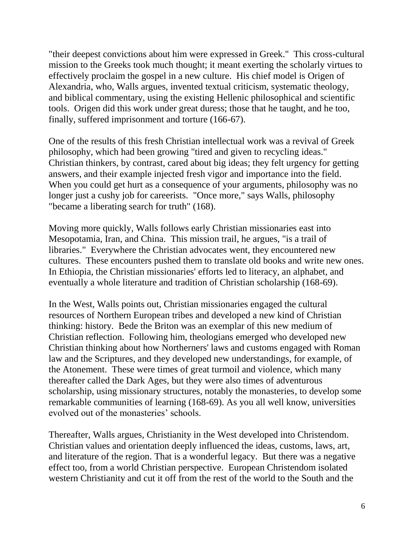"their deepest convictions about him were expressed in Greek." This cross-cultural mission to the Greeks took much thought; it meant exerting the scholarly virtues to effectively proclaim the gospel in a new culture. His chief model is Origen of Alexandria, who, Walls argues, invented textual criticism, systematic theology, and biblical commentary, using the existing Hellenic philosophical and scientific tools. Origen did this work under great duress; those that he taught, and he too, finally, suffered imprisonment and torture (166-67).

One of the results of this fresh Christian intellectual work was a revival of Greek philosophy, which had been growing "tired and given to recycling ideas." Christian thinkers, by contrast, cared about big ideas; they felt urgency for getting answers, and their example injected fresh vigor and importance into the field. When you could get hurt as a consequence of your arguments, philosophy was no longer just a cushy job for careerists. "Once more," says Walls, philosophy "became a liberating search for truth" (168).

Moving more quickly, Walls follows early Christian missionaries east into Mesopotamia, Iran, and China. This mission trail, he argues, "is a trail of libraries." Everywhere the Christian advocates went, they encountered new cultures. These encounters pushed them to translate old books and write new ones. In Ethiopia, the Christian missionaries' efforts led to literacy, an alphabet, and eventually a whole literature and tradition of Christian scholarship (168-69).

In the West, Walls points out, Christian missionaries engaged the cultural resources of Northern European tribes and developed a new kind of Christian thinking: history. Bede the Briton was an exemplar of this new medium of Christian reflection. Following him, theologians emerged who developed new Christian thinking about how Northerners' laws and customs engaged with Roman law and the Scriptures, and they developed new understandings, for example, of the Atonement. These were times of great turmoil and violence, which many thereafter called the Dark Ages, but they were also times of adventurous scholarship, using missionary structures, notably the monasteries, to develop some remarkable communities of learning (168-69). As you all well know, universities evolved out of the monasteries' schools.

Thereafter, Walls argues, Christianity in the West developed into Christendom. Christian values and orientation deeply influenced the ideas, customs, laws, art, and literature of the region. That is a wonderful legacy. But there was a negative effect too, from a world Christian perspective. European Christendom isolated western Christianity and cut it off from the rest of the world to the South and the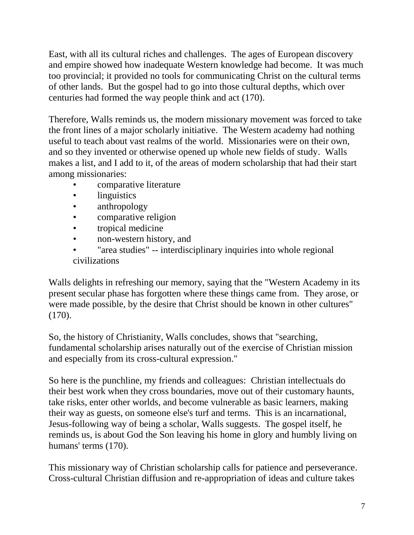East, with all its cultural riches and challenges. The ages of European discovery and empire showed how inadequate Western knowledge had become. It was much too provincial; it provided no tools for communicating Christ on the cultural terms of other lands. But the gospel had to go into those cultural depths, which over centuries had formed the way people think and act (170).

Therefore, Walls reminds us, the modern missionary movement was forced to take the front lines of a major scholarly initiative. The Western academy had nothing useful to teach about vast realms of the world. Missionaries were on their own, and so they invented or otherwise opened up whole new fields of study. Walls makes a list, and I add to it, of the areas of modern scholarship that had their start among missionaries:

- comparative literature
- linguistics
- anthropology
- comparative religion
- tropical medicine
- non-western history, and
- "area studies" -- interdisciplinary inquiries into whole regional civilizations

Walls delights in refreshing our memory, saying that the "Western Academy in its present secular phase has forgotten where these things came from. They arose, or were made possible, by the desire that Christ should be known in other cultures" (170).

So, the history of Christianity, Walls concludes, shows that "searching, fundamental scholarship arises naturally out of the exercise of Christian mission and especially from its cross-cultural expression."

So here is the punchline, my friends and colleagues: Christian intellectuals do their best work when they cross boundaries, move out of their customary haunts, take risks, enter other worlds, and become vulnerable as basic learners, making their way as guests, on someone else's turf and terms. This is an incarnational, Jesus-following way of being a scholar, Walls suggests. The gospel itself, he reminds us, is about God the Son leaving his home in glory and humbly living on humans' terms (170).

This missionary way of Christian scholarship calls for patience and perseverance. Cross-cultural Christian diffusion and re-appropriation of ideas and culture takes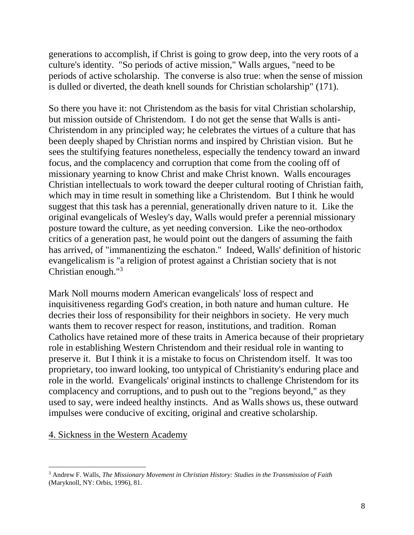generations to accomplish, if Christ is going to grow deep, into the very roots of a culture's identity. "So periods of active mission," Walls argues, "need to be periods of active scholarship. The converse is also true: when the sense of mission is dulled or diverted, the death knell sounds for Christian scholarship" (171).

So there you have it: not Christendom as the basis for vital Christian scholarship, but mission outside of Christendom. I do not get the sense that Walls is anti-Christendom in any principled way; he celebrates the virtues of a culture that has been deeply shaped by Christian norms and inspired by Christian vision. But he sees the stultifying features nonetheless, especially the tendency toward an inward focus, and the complacency and corruption that come from the cooling off of missionary yearning to know Christ and make Christ known. Walls encourages Christian intellectuals to work toward the deeper cultural rooting of Christian faith, which may in time result in something like a Christendom. But I think he would suggest that this task has a perennial, generationally driven nature to it. Like the original evangelicals of Wesley's day, Walls would prefer a perennial missionary posture toward the culture, as yet needing conversion. Like the neo-orthodox critics of a generation past, he would point out the dangers of assuming the faith has arrived, of "immanentizing the eschaton." Indeed, Walls' definition of historic evangelicalism is "a religion of protest against a Christian society that is not Christian enough."<sup>3</sup>

Mark Noll mourns modern American evangelicals' loss of respect and inquisitiveness regarding God's creation, in both nature and human culture. He decries their loss of responsibility for their neighbors in society. He very much wants them to recover respect for reason, institutions, and tradition. Roman Catholics have retained more of these traits in America because of their proprietary role in establishing Western Christendom and their residual role in wanting to preserve it. But I think it is a mistake to focus on Christendom itself. It was too proprietary, too inward looking, too untypical of Christianity's enduring place and role in the world. Evangelicals' original instincts to challenge Christendom for its complacency and corruptions, and to push out to the "regions beyond," as they used to say, were indeed healthy instincts. And as Walls shows us, these outward impulses were conducive of exciting, original and creative scholarship.

#### 4. Sickness in the Western Academy

 $\overline{a}$ <sup>3</sup> Andrew F. Walls, *The Missionary Movement in Christian History: Studies in the Transmission of Faith*  (Maryknoll, NY: Orbis, 1996), 81.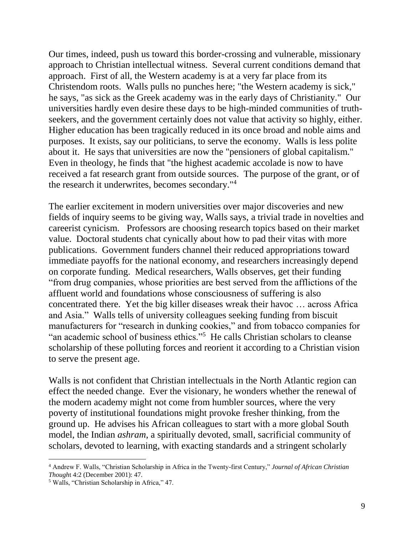Our times, indeed, push us toward this border-crossing and vulnerable, missionary approach to Christian intellectual witness. Several current conditions demand that approach. First of all, the Western academy is at a very far place from its Christendom roots. Walls pulls no punches here; "the Western academy is sick," he says, "as sick as the Greek academy was in the early days of Christianity." Our universities hardly even desire these days to be high-minded communities of truthseekers, and the government certainly does not value that activity so highly, either. Higher education has been tragically reduced in its once broad and noble aims and purposes. It exists, say our politicians, to serve the economy. Walls is less polite about it. He says that universities are now the "pensioners of global capitalism." Even in theology, he finds that "the highest academic accolade is now to have received a fat research grant from outside sources. The purpose of the grant, or of the research it underwrites, becomes secondary."<sup>4</sup>

The earlier excitement in modern universities over major discoveries and new fields of inquiry seems to be giving way, Walls says, a trivial trade in novelties and careerist cynicism. Professors are choosing research topics based on their market value. Doctoral students chat cynically about how to pad their vitas with more publications. Government funders channel their reduced appropriations toward immediate payoffs for the national economy, and researchers increasingly depend on corporate funding. Medical researchers, Walls observes, get their funding "from drug companies, whose priorities are best served from the afflictions of the affluent world and foundations whose consciousness of suffering is also concentrated there. Yet the big killer diseases wreak their havoc … across Africa and Asia." Walls tells of university colleagues seeking funding from biscuit manufacturers for "research in dunking cookies," and from tobacco companies for "an academic school of business ethics."<sup>5</sup> He calls Christian scholars to cleanse scholarship of these polluting forces and reorient it according to a Christian vision to serve the present age.

Walls is not confident that Christian intellectuals in the North Atlantic region can effect the needed change. Ever the visionary, he wonders whether the renewal of the modern academy might not come from humbler sources, where the very poverty of institutional foundations might provoke fresher thinking, from the ground up. He advises his African colleagues to start with a more global South model, the Indian *ashram*, a spiritually devoted, small, sacrificial community of scholars, devoted to learning, with exacting standards and a stringent scholarly

 $\overline{a}$ 

<sup>4</sup> Andrew F. Walls, "Christian Scholarship in Africa in the Twenty-first Century," *Journal of African Christian Though*t 4:2 (December 2001): 47.

<sup>5</sup> Walls, "Christian Scholarship in Africa," 47.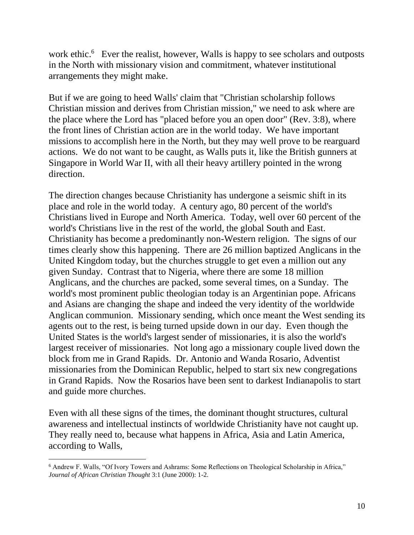work ethic.<sup>6</sup> Ever the realist, however, Walls is happy to see scholars and outposts in the North with missionary vision and commitment, whatever institutional arrangements they might make.

But if we are going to heed Walls' claim that "Christian scholarship follows Christian mission and derives from Christian mission," we need to ask where are the place where the Lord has "placed before you an open door" (Rev. 3:8), where the front lines of Christian action are in the world today. We have important missions to accomplish here in the North, but they may well prove to be rearguard actions. We do not want to be caught, as Walls puts it, like the British gunners at Singapore in World War II, with all their heavy artillery pointed in the wrong direction.

The direction changes because Christianity has undergone a seismic shift in its place and role in the world today. A century ago, 80 percent of the world's Christians lived in Europe and North America. Today, well over 60 percent of the world's Christians live in the rest of the world, the global South and East. Christianity has become a predominantly non-Western religion. The signs of our times clearly show this happening. There are 26 million baptized Anglicans in the United Kingdom today, but the churches struggle to get even a million out any given Sunday. Contrast that to Nigeria, where there are some 18 million Anglicans, and the churches are packed, some several times, on a Sunday. The world's most prominent public theologian today is an Argentinian pope. Africans and Asians are changing the shape and indeed the very identity of the worldwide Anglican communion. Missionary sending, which once meant the West sending its agents out to the rest, is being turned upside down in our day. Even though the United States is the world's largest sender of missionaries, it is also the world's largest receiver of missionaries. Not long ago a missionary couple lived down the block from me in Grand Rapids. Dr. Antonio and Wanda Rosario, Adventist missionaries from the Dominican Republic, helped to start six new congregations in Grand Rapids. Now the Rosarios have been sent to darkest Indianapolis to start and guide more churches.

Even with all these signs of the times, the dominant thought structures, cultural awareness and intellectual instincts of worldwide Christianity have not caught up. They really need to, because what happens in Africa, Asia and Latin America, according to Walls,

 $\overline{a}$ <sup>6</sup> Andrew F. Walls, "Of Ivory Towers and Ashrams: Some Reflections on Theological Scholarship in Africa," *Journal of African Christian Thought* 3:1 (June 2000): 1-2.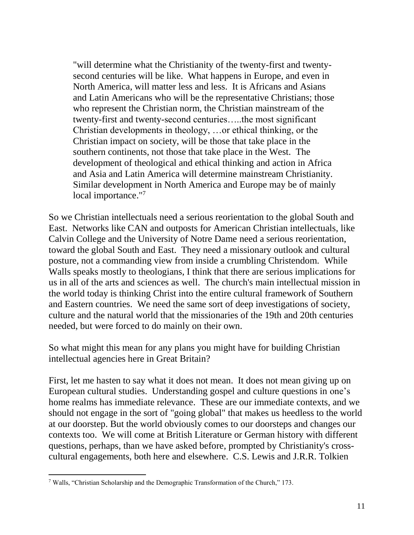"will determine what the Christianity of the twenty-first and twentysecond centuries will be like. What happens in Europe, and even in North America, will matter less and less. It is Africans and Asians and Latin Americans who will be the representative Christians; those who represent the Christian norm, the Christian mainstream of the twenty-first and twenty-second centuries…..the most significant Christian developments in theology, …or ethical thinking, or the Christian impact on society, will be those that take place in the southern continents, not those that take place in the West. The development of theological and ethical thinking and action in Africa and Asia and Latin America will determine mainstream Christianity. Similar development in North America and Europe may be of mainly local importance."<sup>7</sup>

So we Christian intellectuals need a serious reorientation to the global South and East. Networks like CAN and outposts for American Christian intellectuals, like Calvin College and the University of Notre Dame need a serious reorientation, toward the global South and East. They need a missionary outlook and cultural posture, not a commanding view from inside a crumbling Christendom. While Walls speaks mostly to theologians, I think that there are serious implications for us in all of the arts and sciences as well. The church's main intellectual mission in the world today is thinking Christ into the entire cultural framework of Southern and Eastern countries. We need the same sort of deep investigations of society, culture and the natural world that the missionaries of the 19th and 20th centuries needed, but were forced to do mainly on their own.

So what might this mean for any plans you might have for building Christian intellectual agencies here in Great Britain?

First, let me hasten to say what it does not mean. It does not mean giving up on European cultural studies. Understanding gospel and culture questions in one's home realms has immediate relevance. These are our immediate contexts, and we should not engage in the sort of "going global" that makes us heedless to the world at our doorstep. But the world obviously comes to our doorsteps and changes our contexts too. We will come at British Literature or German history with different questions, perhaps, than we have asked before, prompted by Christianity's crosscultural engagements, both here and elsewhere. C.S. Lewis and J.R.R. Tolkien

 $\overline{a}$ 

<sup>7</sup> Walls, "Christian Scholarship and the Demographic Transformation of the Church," 173.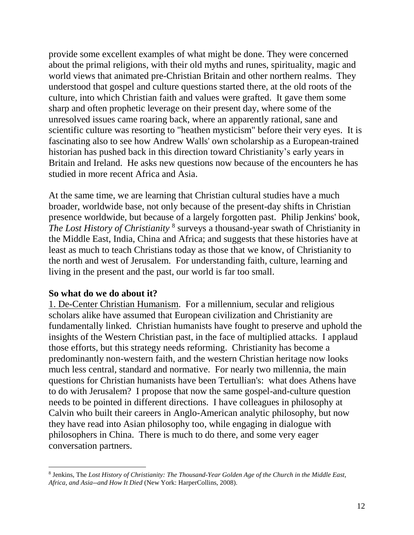provide some excellent examples of what might be done. They were concerned about the primal religions, with their old myths and runes, spirituality, magic and world views that animated pre-Christian Britain and other northern realms. They understood that gospel and culture questions started there, at the old roots of the culture, into which Christian faith and values were grafted. It gave them some sharp and often prophetic leverage on their present day, where some of the unresolved issues came roaring back, where an apparently rational, sane and scientific culture was resorting to "heathen mysticism" before their very eyes. It is fascinating also to see how Andrew Walls' own scholarship as a European-trained historian has pushed back in this direction toward Christianity's early years in Britain and Ireland. He asks new questions now because of the encounters he has studied in more recent Africa and Asia.

At the same time, we are learning that Christian cultural studies have a much broader, worldwide base, not only because of the present-day shifts in Christian presence worldwide, but because of a largely forgotten past. Philip Jenkins' book, The Lost History of Christianity<sup>8</sup> surveys a thousand-year swath of Christianity in the Middle East, India, China and Africa; and suggests that these histories have at least as much to teach Christians today as those that we know, of Christianity to the north and west of Jerusalem. For understanding faith, culture, learning and living in the present and the past, our world is far too small.

#### **So what do we do about it?**

1. De-Center Christian Humanism. For a millennium, secular and religious scholars alike have assumed that European civilization and Christianity are fundamentally linked. Christian humanists have fought to preserve and uphold the insights of the Western Christian past, in the face of multiplied attacks. I applaud those efforts, but this strategy needs reforming. Christianity has become a predominantly non-western faith, and the western Christian heritage now looks much less central, standard and normative. For nearly two millennia, the main questions for Christian humanists have been Tertullian's: what does Athens have to do with Jerusalem? I propose that now the same gospel-and-culture question needs to be pointed in different directions. I have colleagues in philosophy at Calvin who built their careers in Anglo-American analytic philosophy, but now they have read into Asian philosophy too, while engaging in dialogue with philosophers in China. There is much to do there, and some very eager conversation partners.

 $\overline{a}$ 8 Jenkins, The *Lost History of Christianity: The Thousand-Year Golden Age of the Church in the Middle East, Africa, and Asia--and How It Died* (New York: HarperCollins, 2008).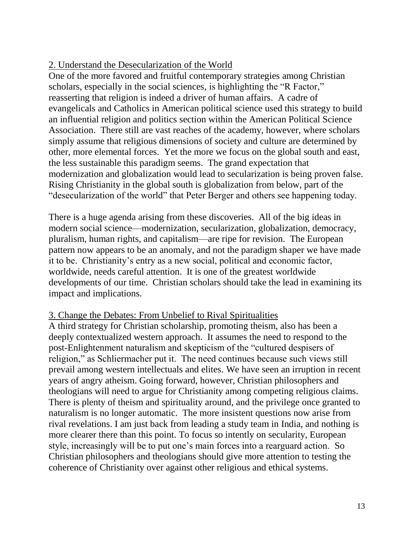# 2. Understand the Desecularization of the World

One of the more favored and fruitful contemporary strategies among Christian scholars, especially in the social sciences, is highlighting the "R Factor," reasserting that religion is indeed a driver of human affairs. A cadre of evangelicals and Catholics in American political science used this strategy to build an influential religion and politics section within the American Political Science Association. There still are vast reaches of the academy, however, where scholars simply assume that religious dimensions of society and culture are determined by other, more elemental forces. Yet the more we focus on the global south and east, the less sustainable this paradigm seems. The grand expectation that modernization and globalization would lead to secularization is being proven false. Rising Christianity in the global south is globalization from below, part of the "desecularization of the world" that Peter Berger and others see happening today.

There is a huge agenda arising from these discoveries. All of the big ideas in modern social science—modernization, secularization, globalization, democracy, pluralism, human rights, and capitalism—are ripe for revision. The European pattern now appears to be an anomaly, and not the paradigm shaper we have made it to be. Christianity's entry as a new social, political and economic factor, worldwide, needs careful attention. It is one of the greatest worldwide developments of our time. Christian scholars should take the lead in examining its impact and implications.

## 3. Change the Debates: From Unbelief to Rival Spiritualities

A third strategy for Christian scholarship, promoting theism, also has been a deeply contextualized western approach. It assumes the need to respond to the post-Enlightenment naturalism and skepticism of the "cultured despisers of religion," as Schliermacher put it. The need continues because such views still prevail among western intellectuals and elites. We have seen an irruption in recent years of angry atheism. Going forward, however, Christian philosophers and theologians will need to argue for Christianity among competing religious claims. There is plenty of theism and spirituality around, and the privilege once granted to naturalism is no longer automatic. The more insistent questions now arise from rival revelations. I am just back from leading a study team in India, and nothing is more clearer there than this point. To focus so intently on secularity, European style, increasingly will be to put one's main forces into a rearguard action. So Christian philosophers and theologians should give more attention to testing the coherence of Christianity over against other religious and ethical systems.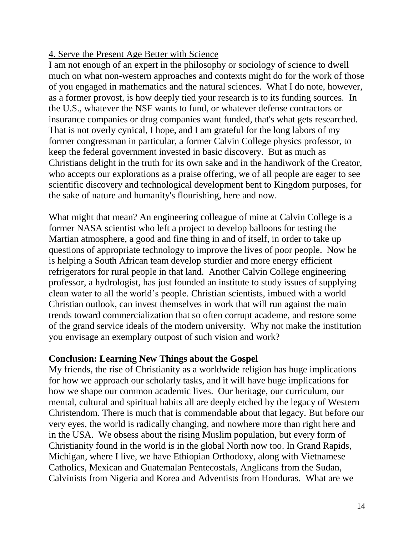## 4. Serve the Present Age Better with Science

I am not enough of an expert in the philosophy or sociology of science to dwell much on what non-western approaches and contexts might do for the work of those of you engaged in mathematics and the natural sciences. What I do note, however, as a former provost, is how deeply tied your research is to its funding sources. In the U.S., whatever the NSF wants to fund, or whatever defense contractors or insurance companies or drug companies want funded, that's what gets researched. That is not overly cynical, I hope, and I am grateful for the long labors of my former congressman in particular, a former Calvin College physics professor, to keep the federal government invested in basic discovery. But as much as Christians delight in the truth for its own sake and in the handiwork of the Creator, who accepts our explorations as a praise offering, we of all people are eager to see scientific discovery and technological development bent to Kingdom purposes, for the sake of nature and humanity's flourishing, here and now.

What might that mean? An engineering colleague of mine at Calvin College is a former NASA scientist who left a project to develop balloons for testing the Martian atmosphere, a good and fine thing in and of itself, in order to take up questions of appropriate technology to improve the lives of poor people. Now he is helping a South African team develop sturdier and more energy efficient refrigerators for rural people in that land. Another Calvin College engineering professor, a hydrologist, has just founded an institute to study issues of supplying clean water to all the world's people. Christian scientists, imbued with a world Christian outlook, can invest themselves in work that will run against the main trends toward commercialization that so often corrupt academe, and restore some of the grand service ideals of the modern university. Why not make the institution you envisage an exemplary outpost of such vision and work?

#### **Conclusion: Learning New Things about the Gospel**

My friends, the rise of Christianity as a worldwide religion has huge implications for how we approach our scholarly tasks, and it will have huge implications for how we shape our common academic lives. Our heritage, our curriculum, our mental, cultural and spiritual habits all are deeply etched by the legacy of Western Christendom. There is much that is commendable about that legacy. But before our very eyes, the world is radically changing, and nowhere more than right here and in the USA. We obsess about the rising Muslim population, but every form of Christianity found in the world is in the global North now too. In Grand Rapids, Michigan, where I live, we have Ethiopian Orthodoxy, along with Vietnamese Catholics, Mexican and Guatemalan Pentecostals, Anglicans from the Sudan, Calvinists from Nigeria and Korea and Adventists from Honduras. What are we